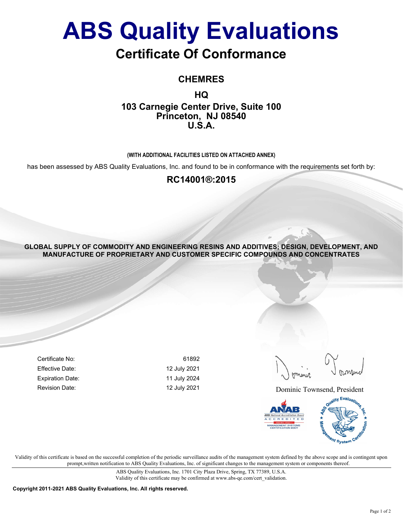# ABS Quality Evaluations

## Certificate Of Conformance

CHEMRES

HQ 103 Carnegie Center Drive, Suite 100 Princeton, NJ 08540 U.S.A.

#### (WITH ADDITIONAL FACILITIES LISTED ON ATTACHED ANNEX)

has been assessed by ABS Quality Evaluations, Inc. and found to be in conformance with the requirements set forth by:

### RC14001®:2015

GLOBAL SUPPLY OF COMMODITY AND ENGINEERING RESINS AND ADDITIVES; DESIGN, DEVELOPMENT, AND MANUFACTURE OF PROPRIETARY AND CUSTOMER SPECIFIC COMPOUNDS AND CONCENTRATES

Certificate No: 61892 Effective Date: 12 July 2021 Expiration Date: 11 July 2024

Revision Date: The Contract of the May 2021 2021 2021 Dominic Townsend, President



Validity of this certificate is based on the successful completion of the periodic surveillance audits of the management system defined by the above scope and is contingent upon prompt,written notification to ABS Quality Evaluations, Inc. of significant changes to the management system or components thereof.

> ABS Quality Evaluations, Inc. 1701 City Plaza Drive, Spring, TX 77389, U.S.A. Validity of this certificate may be confirmed at www.abs-qe.com/cert\_validation.

Copyright 2011-2021 ABS Quality Evaluations, Inc. All rights reserved.